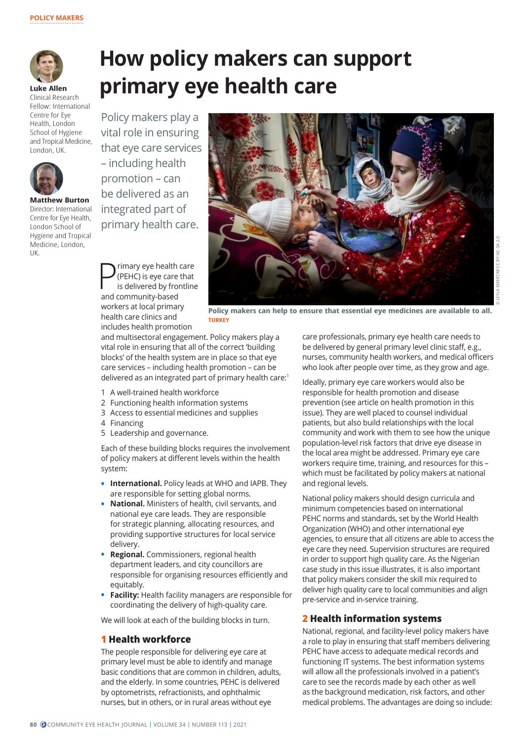

**Luke Allen** Clinical Research Fellow: International Centre for Eye Health, London School of Hygiene and Tropical Medicine, London, UK.



**Matthew Burton** Director: International Centre for Eye Health, London School of Hygiene and Tropical Medicine, London, UK.

# **How policy makers can support primary eye health care**

Policy makers play a vital role in ensuring that eye care services – including health promotion – can be delivered as an integrated part of primary health care.



**P** (PEHC) is eye care that<br>is delivered by frontline<br>and community based (PEHC) is eye care that and community-based workers at local primary health care clinics and includes health promotion

**Policy makers can help to ensure that essential eye medicines are available to all. TURKEY**

and multisectoral engagement. Policy makers play a vital role in ensuring that all of the correct 'building blocks' of the health system are in place so that eye care services – including health promotion – can be delivered as an integrated part of primary health care:<sup>1</sup>

- 1 A well-trained health workforce
- 2 Functioning health information systems
- 3 Access to essential medicines and supplies
- 4 Financing
- 5 Leadership and governance.

Each of these building blocks requires the involvement of policy makers at different levels within the health system:

- **• International.** Policy leads at WHO and IAPB. They are responsible for setting global norms.
- **• National.** Ministers of health, civil servants, and national eye care leads. They are responsible for strategic planning, allocating resources, and providing supportive structures for local service delivery.
- **• Regional.** Commissioners, regional health department leaders, and city councillors are responsible for organising resources efficiently and equitably.
- **• Facility:** Health facility managers are responsible for coordinating the delivery of high-quality care.

We will look at each of the building blocks in turn.

### **1 Health workforce**

The people responsible for delivering eye care at primary level must be able to identify and manage basic conditions that are common in children, adults, and the elderly. In some countries, PEHC is delivered by optometrists, refractionists, and ophthalmic nurses, but in others, or in rural areas without eye

care professionals, primary eye health care needs to be delivered by general primary level clinic staff, e.g., nurses, community health workers, and medical officers who look after people over time, as they grow and age.

Ideally, primary eye care workers would also be responsible for health promotion and disease prevention (see article on health promotion in this issue). They are well placed to counsel individual patients, but also build relationships with the local community and work with them to see how the unique population-level risk factors that drive eye disease in the local area might be addressed. Primary eye care workers require time, training, and resources for this – which must be facilitated by policy makers at national and regional levels.

National policy makers should design curricula and minimum competencies based on international PEHC norms and standards, set by the World Health Organization (WHO) and other international eye agencies, to ensure that all citizens are able to access the eye care they need. Supervision structures are required in order to support high quality care. As the Nigerian case study in this issue illustrates, it is also important that policy makers consider the skill mix required to deliver high quality care to local communities and align pre-service and in-service training.

#### **2 Health information systems**

National, regional, and facility-level policy makers have a role to play in ensuring that staff members delivering PEHC have access to adequate medical records and functioning IT systems. The best information systems will allow all the professionals involved in a patient's care to see the records made by each other as well as the background medication, risk factors, and other medical problems. The advantages are doing so include: